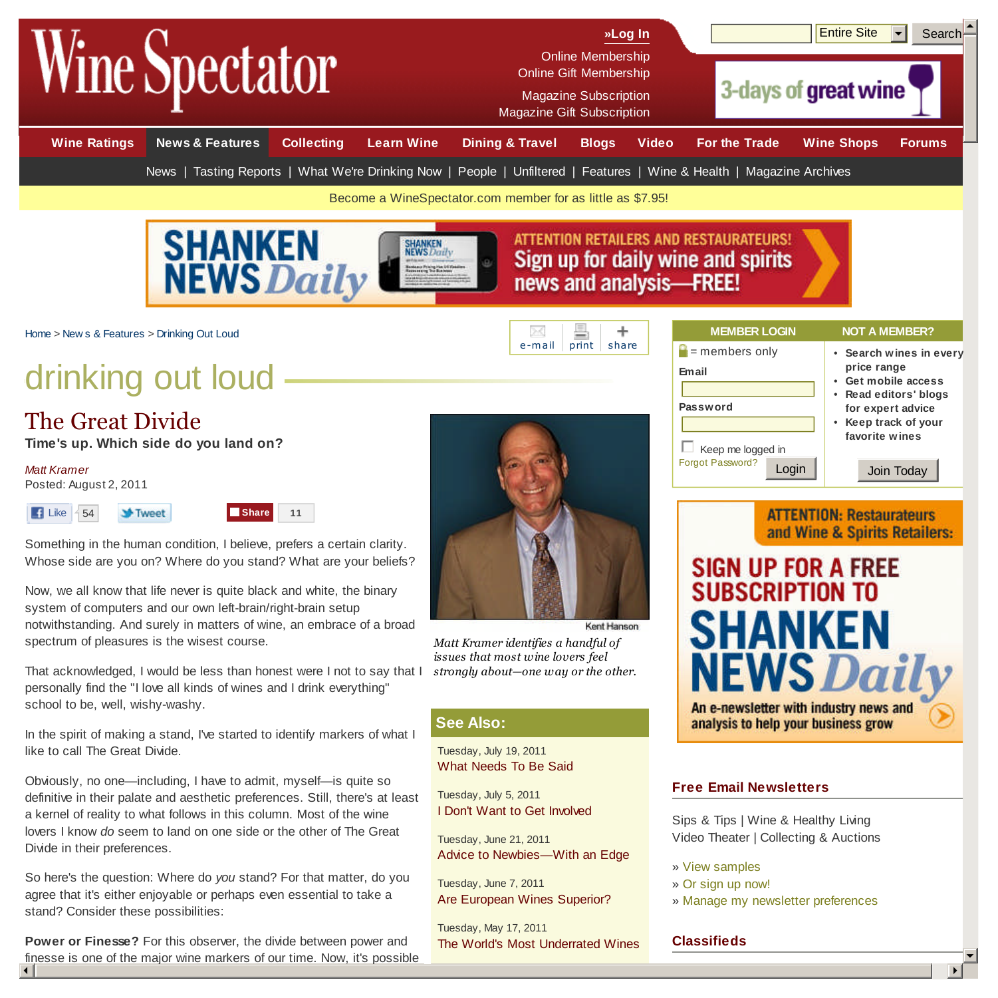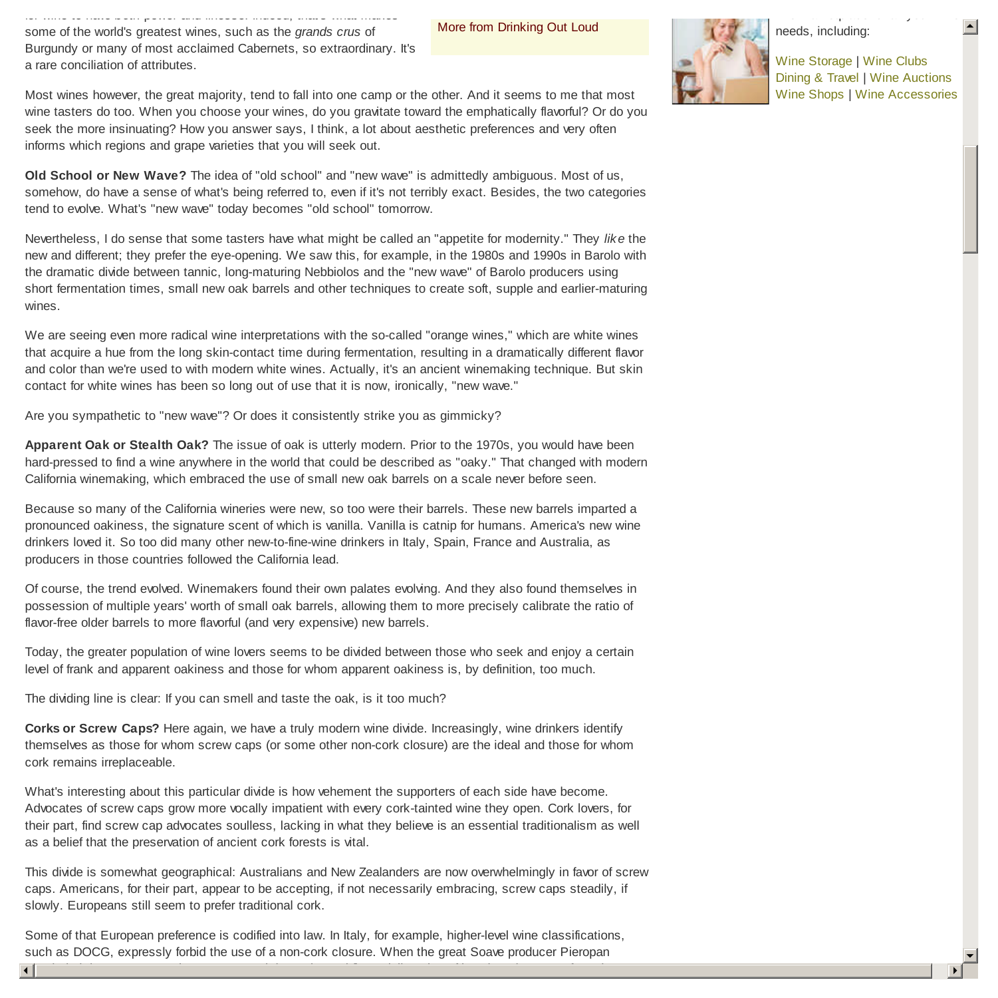some of the world's greatest wines, such as the *grands crus* of Burgundy or many of most acclaimed Cabernets, so extraordinary. It's a rare conciliation of attributes.

for wine to have *both* power and finesse. Indeed, that's what makes

More from Drinking Out Loud



Wine Storage | Wine Clubs Dining & Travel | Wine Auctions Wine Shops | Wine Accessories  $\blacktriangle$ 

Most wines however, the great majority, tend to fall into one camp or the other. And it seems to me that most wine tasters do too. When you choose your wines, do you gravitate toward the emphatically flavorful? Or do you seek the more insinuating? How you answer says, I think, a lot about aesthetic preferences and very often informs which regions and grape varieties that you will seek out.

**Old School or New Wave?** The idea of "old school" and "new wave" is admittedly ambiguous. Most of us, somehow, do have a sense of what's being referred to, even if it's not terribly exact. Besides, the two categories tend to evolve. What's "new wave" today becomes "old school" tomorrow.

Nevertheless, I do sense that some tasters have what might be called an "appetite for modernity." They *like* the new and different; they prefer the eye-opening. We saw this, for example, in the 1980s and 1990s in Barolo with the dramatic divide between tannic, long-maturing Nebbiolos and the "new wave" of Barolo producers using short fermentation times, small new oak barrels and other techniques to create soft, supple and earlier-maturing wines.

We are seeing even more radical wine interpretations with the so-called "orange wines," which are white wines that acquire a hue from the long skin-contact time during fermentation, resulting in a dramatically different flavor and color than we're used to with modern white wines. Actually, it's an ancient winemaking technique. But skin contact for white wines has been so long out of use that it is now, ironically, "new wave."

Are you sympathetic to "new wave"? Or does it consistently strike you as gimmicky?

**Apparent Oak or Stealth Oak?** The issue of oak is utterly modern. Prior to the 1970s, you would have been hard-pressed to find a wine anywhere in the world that could be described as "oaky." That changed with modern California winemaking, which embraced the use of small new oak barrels on a scale never before seen.

Because so many of the California wineries were new, so too were their barrels. These new barrels imparted a pronounced oakiness, the signature scent of which is vanilla. Vanilla is catnip for humans. America's new wine drinkers loved it. So too did many other new-to-fine-wine drinkers in Italy, Spain, France and Australia, as producers in those countries followed the California lead.

Of course, the trend evolved. Winemakers found their own palates evolving. And they also found themselves in possession of multiple years' worth of small oak barrels, allowing them to more precisely calibrate the ratio of flavor-free older barrels to more flavorful (and very expensive) new barrels.

Today, the greater population of wine lovers seems to be divided between those who seek and enjoy a certain level of frank and apparent oakiness and those for whom apparent oakiness is, by definition, too much.

The dividing line is clear: If you can smell and taste the oak, is it too much?

**Corks or Screw Caps?** Here again, we have a truly modern wine divide. Increasingly, wine drinkers identify themselves as those for whom screw caps (or some other non-cork closure) are the ideal and those for whom cork remains irreplaceable.

What's interesting about this particular divide is how vehement the supporters of each side have become. Advocates of screw caps grow more vocally impatient with every cork-tainted wine they open. Cork lovers, for their part, find screw cap advocates soulless, lacking in what they believe is an essential traditionalism as well as a belief that the preservation of ancient cork forests is vital.

This divide is somewhat geographical: Australians and New Zealanders are now overwhelmingly in favor of screw caps. Americans, for their part, appear to be accepting, if not necessarily embracing, screw caps steadily, if slowly. Europeans still seem to prefer traditional cork.

Some of that European preference is codified into law. In Italy, for example, higher-level wine classifications, such as DOCG, expressly forbid the use of a non-cork closure. When the great Soave producer Pieropan

3 4 concluded that screw caps better preserved the purity and flavor delineation of its wine, they were forced to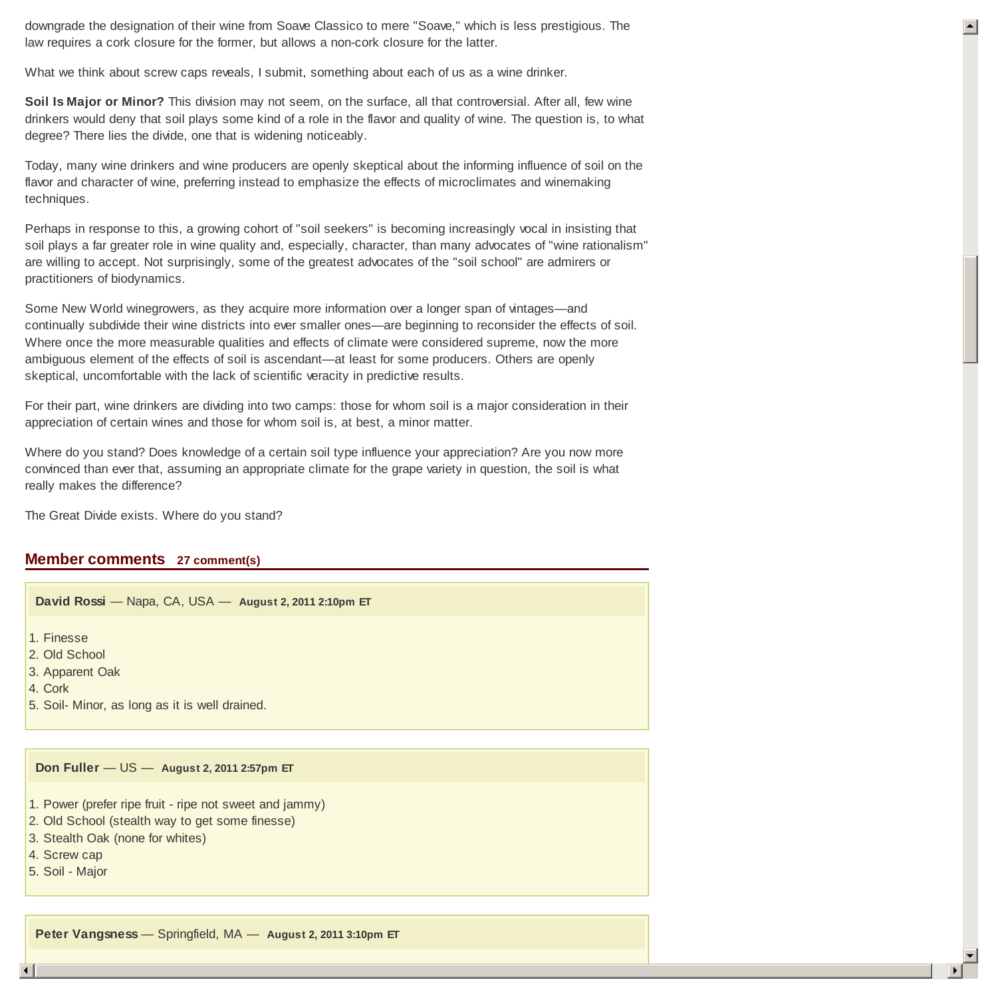downgrade the designation of their wine from Soave Classico to mere "Soave," which is less prestigious. The law requires a cork closure for the former, but allows a non-cork closure for the latter.

What we think about screw caps reveals, I submit, something about each of us as a wine drinker.

**Soil Is Major or Minor?** This division may not seem, on the surface, all that controversial. After all, few wine drinkers would deny that soil plays some kind of a role in the flavor and quality of wine. The question is, to what degree? There lies the divide, one that is widening noticeably.

Today, many wine drinkers and wine producers are openly skeptical about the informing influence of soil on the flavor and character of wine, preferring instead to emphasize the effects of microclimates and winemaking techniques.

Perhaps in response to this, a growing cohort of "soil seekers" is becoming increasingly vocal in insisting that soil plays a far greater role in wine quality and, especially, character, than many advocates of "wine rationalism" are willing to accept. Not surprisingly, some of the greatest advocates of the "soil school" are admirers or practitioners of biodynamics.

Some New World winegrowers, as they acquire more information over a longer span of vintages—and continually subdivide their wine districts into ever smaller ones—are beginning to reconsider the effects of soil. Where once the more measurable qualities and effects of climate were considered supreme, now the more ambiguous element of the effects of soil is ascendant—at least for some producers. Others are openly skeptical, uncomfortable with the lack of scientific veracity in predictive results.

For their part, wine drinkers are dividing into two camps: those for whom soil is a major consideration in their appreciation of certain wines and those for whom soil is, at best, a minor matter.

Where do you stand? Does knowledge of a certain soil type influence your appreciation? Are you now more convinced than ever that, assuming an appropriate climate for the grape variety in question, the soil is what really makes the difference?

The Great Divide exists. Where do you stand?

# **Member comments 27 comment(s)**

**David Rossi** — Napa, CA, USA — **August 2, 2011 2:10pm ET**

1. Finesse

2. Old School

3. Apparent Oak

- 4. Cork
- 5. Soil- Minor, as long as it is well drained.

### **Don Fuller** — US — **August 2, 2011 2:57pm ET**

- 1. Power (prefer ripe fruit ripe not sweet and jammy)
- 2. Old School (stealth way to get some finesse)
- 3. Stealth Oak (none for whites)
- 4. Screw cap
- 5. Soil Major

**Peter Vangsness** — Springfield, MA — **August 2, 2011 3:10pm ET**

 $\left| \right|$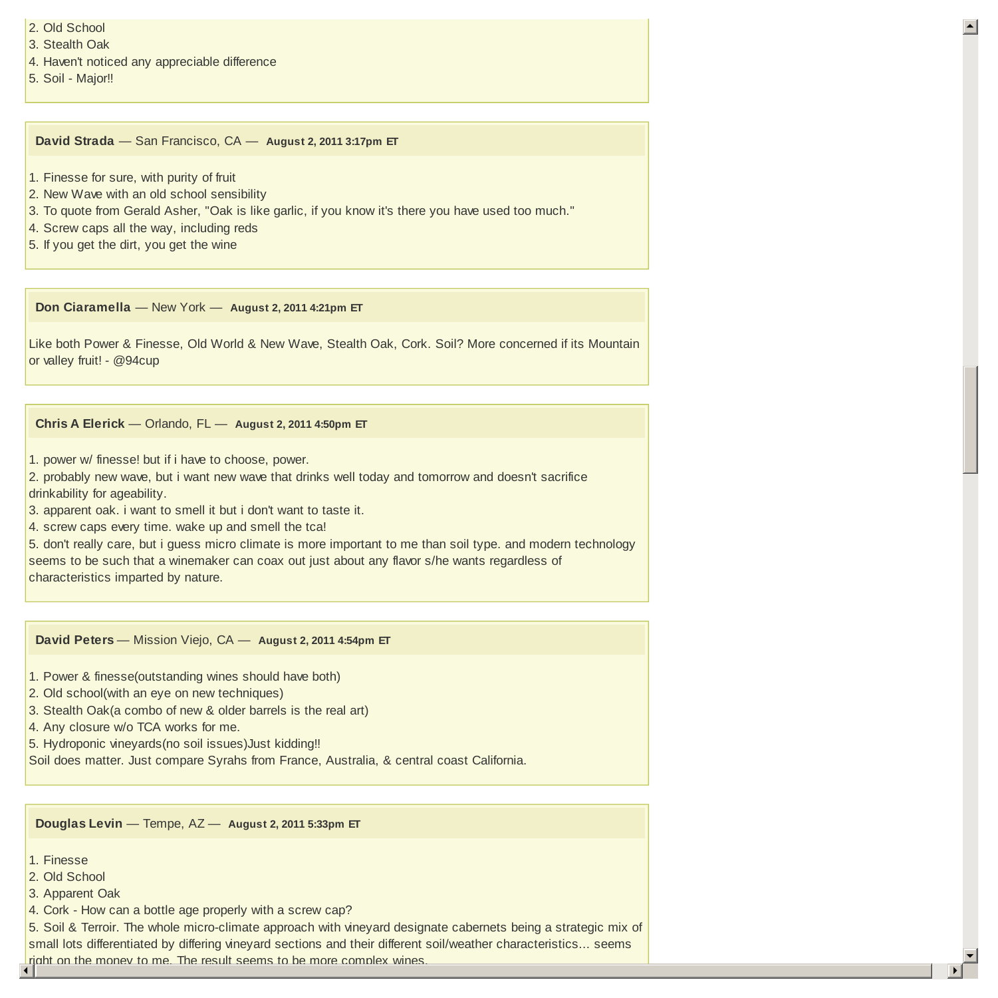- 2. Old School
- 3. Stealth Oak
- 4. Haven't noticed any appreciable difference
- 5. Soil Major!!

**David Strada** — San Francisco, CA — **August 2, 2011 3:17pm ET**

- 1. Finesse for sure, with purity of fruit
- 2. New Wave with an old school sensibility
- 3. To quote from Gerald Asher, "Oak is like garlic, if you know it's there you have used too much."
- 4. Screw caps all the way, including reds
- 5. If you get the dirt, you get the wine

**Don Ciaramella** — New York — **August 2, 2011 4:21pm ET**

Like both Power & Finesse, Old World & New Wave, Stealth Oak, Cork. Soil? More concerned if its Mountain or valley fruit! - @94cup

# **Chris A Elerick** — Orlando, FL — **August 2, 2011 4:50pm ET**

- 1. power w/ finesse! but if i have to choose, power.
- 2. probably new wave, but i want new wave that drinks well today and tomorrow and doesn't sacrifice drinkability for ageability.
- 3. apparent oak. i want to smell it but i don't want to taste it.
- 4. screw caps every time. wake up and smell the tca!

5. don't really care, but i guess micro climate is more important to me than soil type. and modern technology seems to be such that a winemaker can coax out just about any flavor s/he wants regardless of characteristics imparted by nature.

**David Peters** — Mission Viejo, CA — **August 2, 2011 4:54pm ET**

1. Power & finesse(outstanding wines should have both)

- 2. Old school(with an eye on new techniques)
- 3. Stealth Oak(a combo of new & older barrels is the real art)
- 4. Any closure w/o TCA works for me.
- 5. Hydroponic vineyards(no soil issues)Just kidding!!
- Soil does matter. Just compare Syrahs from France, Australia, & central coast California.

**Douglas Levin** — Tempe, AZ — **August 2, 2011 5:33pm ET**

- 1. Finesse
- 2. Old School
- 3. Apparent Oak
- 4. Cork How can a bottle age properly with a screw cap?

5. Soil & Terroir. The whole micro-climate approach with vineyard designate cabernets being a strategic mix of small lots differentiated by differing vineyard sections and their different soil/weather characteristics... seems right on the money to me. The result seems to be more complex wines.

 $\blacktriangledown$ 3 4

 $\blacktriangle$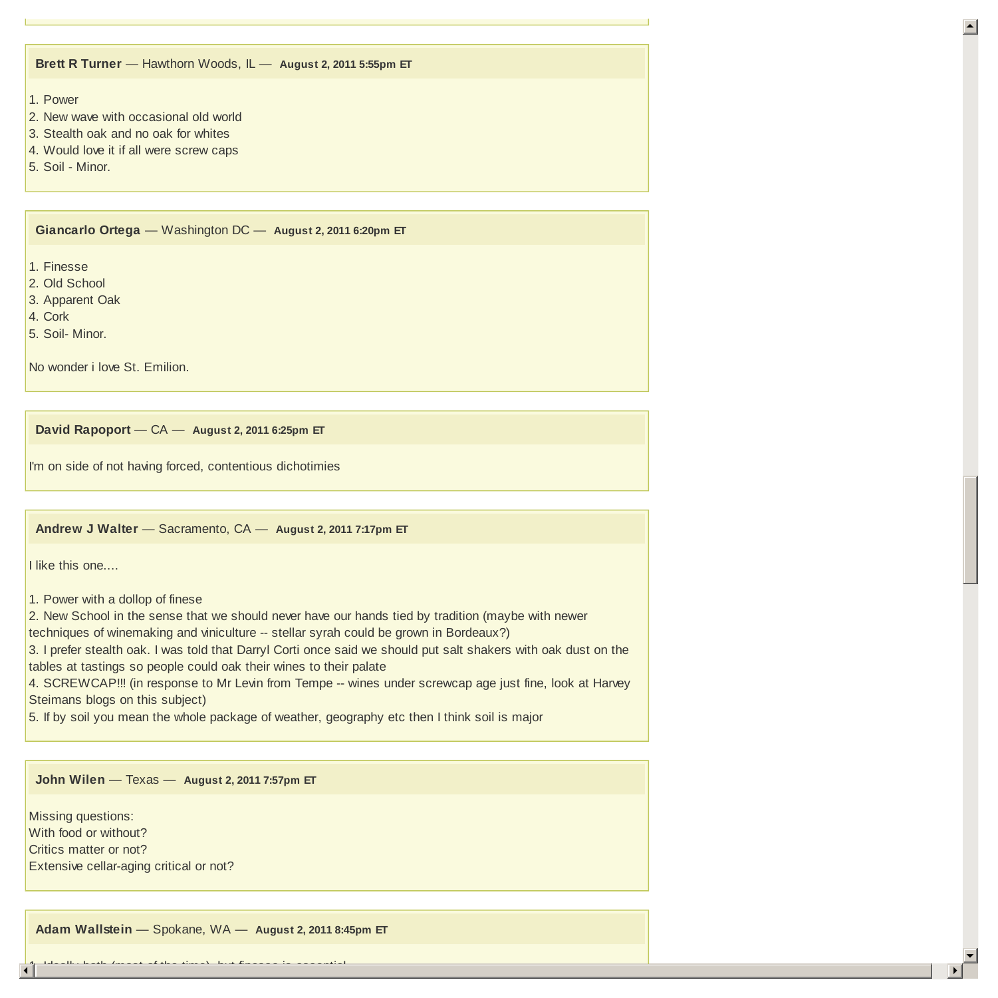### **Brett R Turner** — Hawthorn Woods, IL — **August 2, 2011 5:55pm ET**

# 1. Power

- 2. New wave with occasional old world
- 3. Stealth oak and no oak for whites
- 4. Would love it if all were screw caps
- 5. Soil Minor.

**Giancarlo Ortega** — Washington DC — **August 2, 2011 6:20pm ET**

1. Finesse

- 2. Old School
- 3. Apparent Oak
- 4. Cork
- 5. Soil- Minor.

No wonder i love St. Emilion.

**David Rapoport** — CA — **August 2, 2011 6:25pm ET**

I'm on side of not having forced, contentious dichotimies

**Andrew J Walter** — Sacramento, CA — **August 2, 2011 7:17pm ET**

I like this one....

1. Power with a dollop of finese

2. New School in the sense that we should never have our hands tied by tradition (maybe with newer

techniques of winemaking and viniculture -- stellar syrah could be grown in Bordeaux?)

3. I prefer stealth oak. I was told that Darryl Corti once said we should put salt shakers with oak dust on the tables at tastings so people could oak their wines to their palate

4. SCREWCAP!!! (in response to Mr Levin from Tempe -- wines under screwcap age just fine, look at Harvey Steimans blogs on this subject)

5. If by soil you mean the whole package of weather, geography etc then I think soil is major

### **John Wilen** — Texas — **August 2, 2011 7:57pm ET**

Missing questions: With food or without? Critics matter or not? Extensive cellar-aging critical or not?

**Adam Wallstein** — Spokane, WA — **August 2, 2011 8:45pm ET**

 $\blacktriangledown$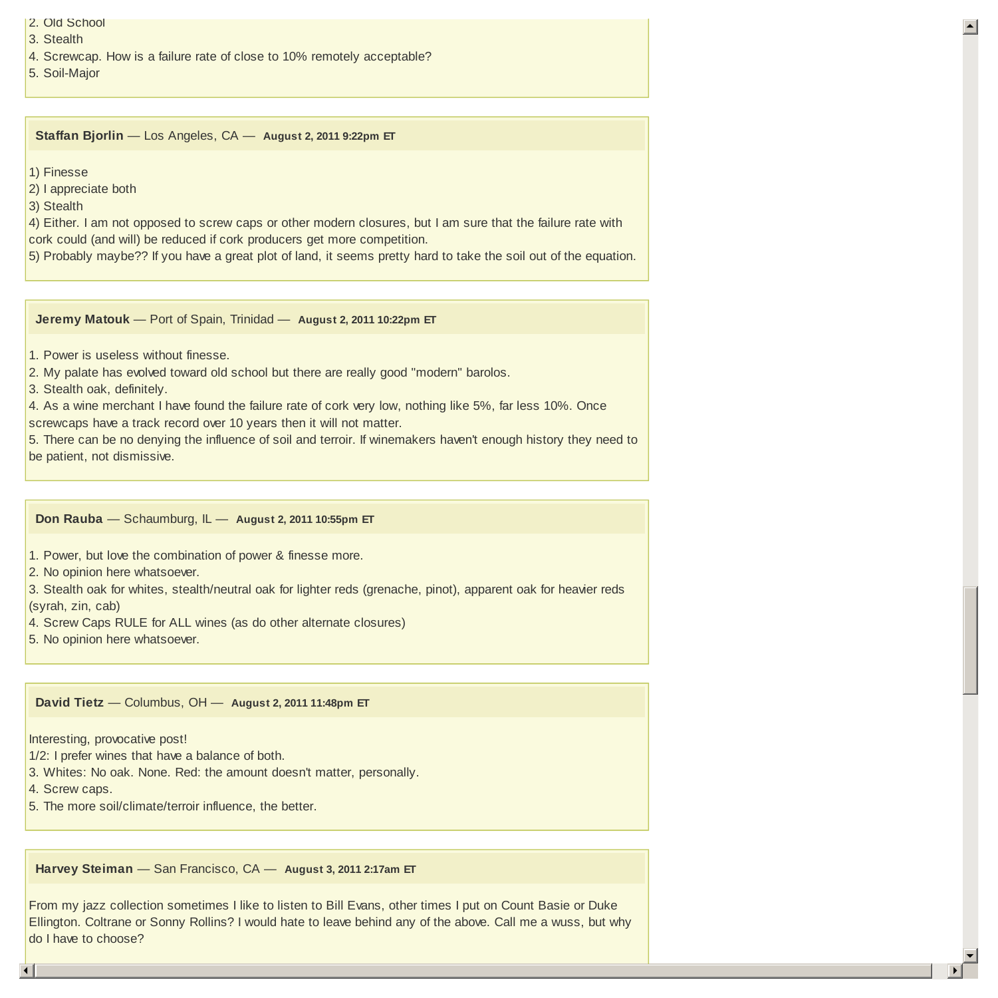- 2. Old School
- 3. Stealth
- 4. Screwcap. How is a failure rate of close to 10% remotely acceptable?

5. Soil-Major

**Staffan Bjorlin** — Los Angeles, CA — **August 2, 2011 9:22pm ET**

1) Finesse

2) I appreciate both

3) Stealth

4) Either. I am not opposed to screw caps or other modern closures, but I am sure that the failure rate with cork could (and will) be reduced if cork producers get more competition.

5) Probably maybe?? If you have a great plot of land, it seems pretty hard to take the soil out of the equation.

 $\left| \right|$ 

 $\blacktriangledown$ 

**Jeremy Matouk** — Port of Spain, Trinidad — **August 2, 2011 10:22pm ET**

- 1. Power is useless without finesse.
- 2. My palate has evolved toward old school but there are really good "modern" barolos.
- 3. Stealth oak, definitely.

4. As a wine merchant I have found the failure rate of cork very low, nothing like 5%, far less 10%. Once screwcaps have a track record over 10 years then it will not matter.

5. There can be no denying the influence of soil and terroir. If winemakers haven't enough history they need to be patient, not dismissive.

**Don Rauba** — Schaumburg, IL — **August 2, 2011 10:55pm ET**

1. Power, but love the combination of power & finesse more.

2. No opinion here whatsoever.

3. Stealth oak for whites, stealth/neutral oak for lighter reds (grenache, pinot), apparent oak for heavier reds (syrah, zin, cab)

4. Screw Caps RULE for ALL wines (as do other alternate closures)

5. No opinion here whatsoever.

**David Tietz** — Columbus, OH — **August 2, 2011 11:48pm ET**

Interesting, provocative post!

1/2: I prefer wines that have a balance of both.

3. Whites: No oak. None. Red: the amount doesn't matter, personally.

4. Screw caps.

5. The more soil/climate/terroir influence, the better.

**Harvey Steiman** — San Francisco, CA — **August 3, 2011 2:17am ET**

From my jazz collection sometimes I like to listen to Bill Evans, other times I put on Count Basie or Duke Ellington. Coltrane or Sonny Rollins? I would hate to leave behind any of the above. Call me a wuss, but why do I have to choose?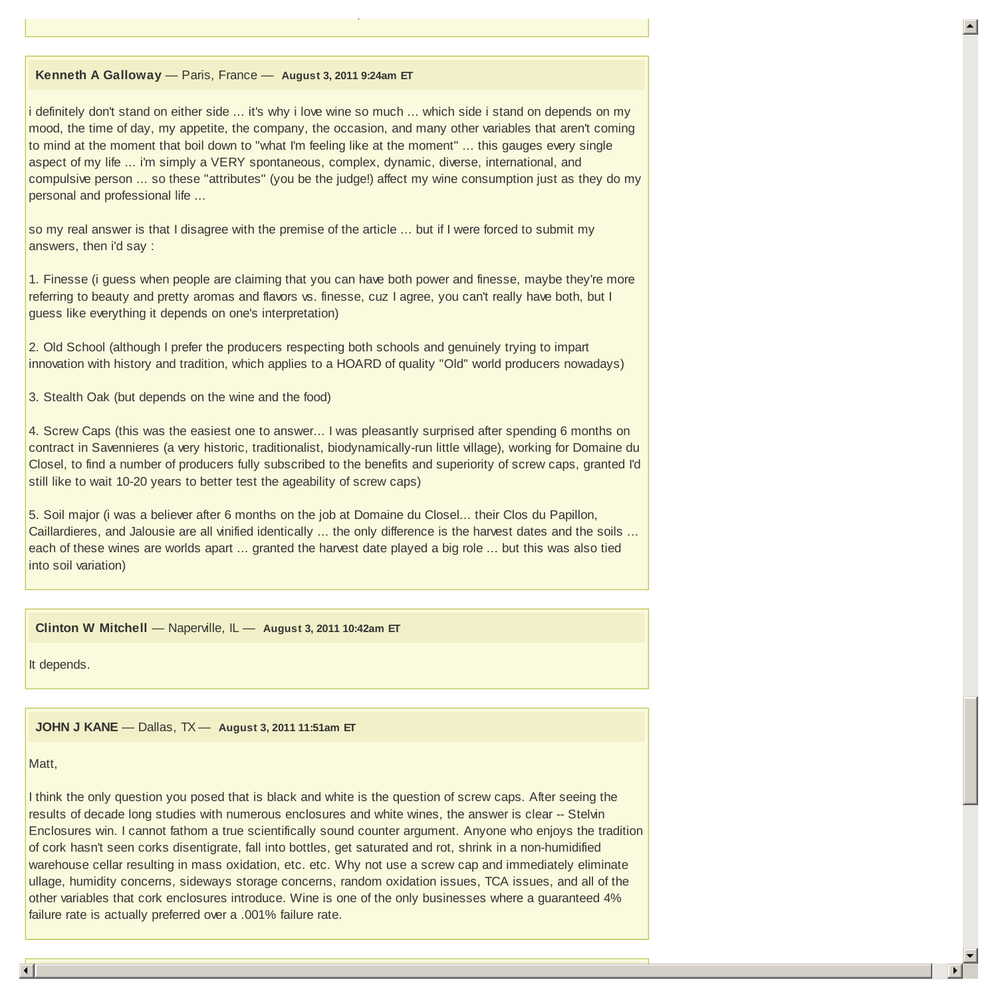## **Kenneth A Galloway** — Paris, France — **August 3, 2011 9:24am ET**

On closures, it's a no-brainer. Best use of cork I know is my kitchen floor.

i definitely don't stand on either side ... it's why i love wine so much ... which side i stand on depends on my mood, the time of day, my appetite, the company, the occasion, and many other variables that aren't coming to mind at the moment that boil down to "what I'm feeling like at the moment" ... this gauges every single aspect of my life ... i'm simply a VERY spontaneous, complex, dynamic, diverse, international, and compulsive person ... so these "attributes" (you be the judge!) affect my wine consumption just as they do my personal and professional life ...

so my real answer is that I disagree with the premise of the article ... but if I were forced to submit my answers, then i'd say :

1. Finesse (i guess when people are claiming that you can have both power and finesse, maybe they're more referring to beauty and pretty aromas and flavors vs. finesse, cuz I agree, you can't really have both, but I guess like everything it depends on one's interpretation)

2. Old School (although I prefer the producers respecting both schools and genuinely trying to impart innovation with history and tradition, which applies to a HOARD of quality "Old" world producers nowadays)

3. Stealth Oak (but depends on the wine and the food)

4. Screw Caps (this was the easiest one to answer... I was pleasantly surprised after spending 6 months on contract in Savennieres (a very historic, traditionalist, biodynamically-run little village), working for Domaine du Closel, to find a number of producers fully subscribed to the benefits and superiority of screw caps, granted I'd still like to wait 10-20 years to better test the ageability of screw caps)

5. Soil major (i was a believer after 6 months on the job at Domaine du Closel... their Clos du Papillon, Caillardieres, and Jalousie are all vinified identically ... the only difference is the harvest dates and the soils ... each of these wines are worlds apart ... granted the harvest date played a big role ... but this was also tied into soil variation)

**Clinton W Mitchell** — Naperville, IL — **August 3, 2011 10:42am ET**

It depends.

**JOHN J KANE** — Dallas, TX — **August 3, 2011 11:51am ET**

#### Matt,

I think the only question you posed that is black and white is the question of screw caps. After seeing the results of decade long studies with numerous enclosures and white wines, the answer is clear -- Stelvin Enclosures win. I cannot fathom a true scientifically sound counter argument. Anyone who enjoys the tradition of cork hasn't seen corks disentigrate, fall into bottles, get saturated and rot, shrink in a non-humidified warehouse cellar resulting in mass oxidation, etc. etc. Why not use a screw cap and immediately eliminate ullage, humidity concerns, sideways storage concerns, random oxidation issues, TCA issues, and all of the other variables that cork enclosures introduce. Wine is one of the only businesses where a guaranteed 4% failure rate is actually preferred over a .001% failure rate.

3 4

 $\blacktriangledown$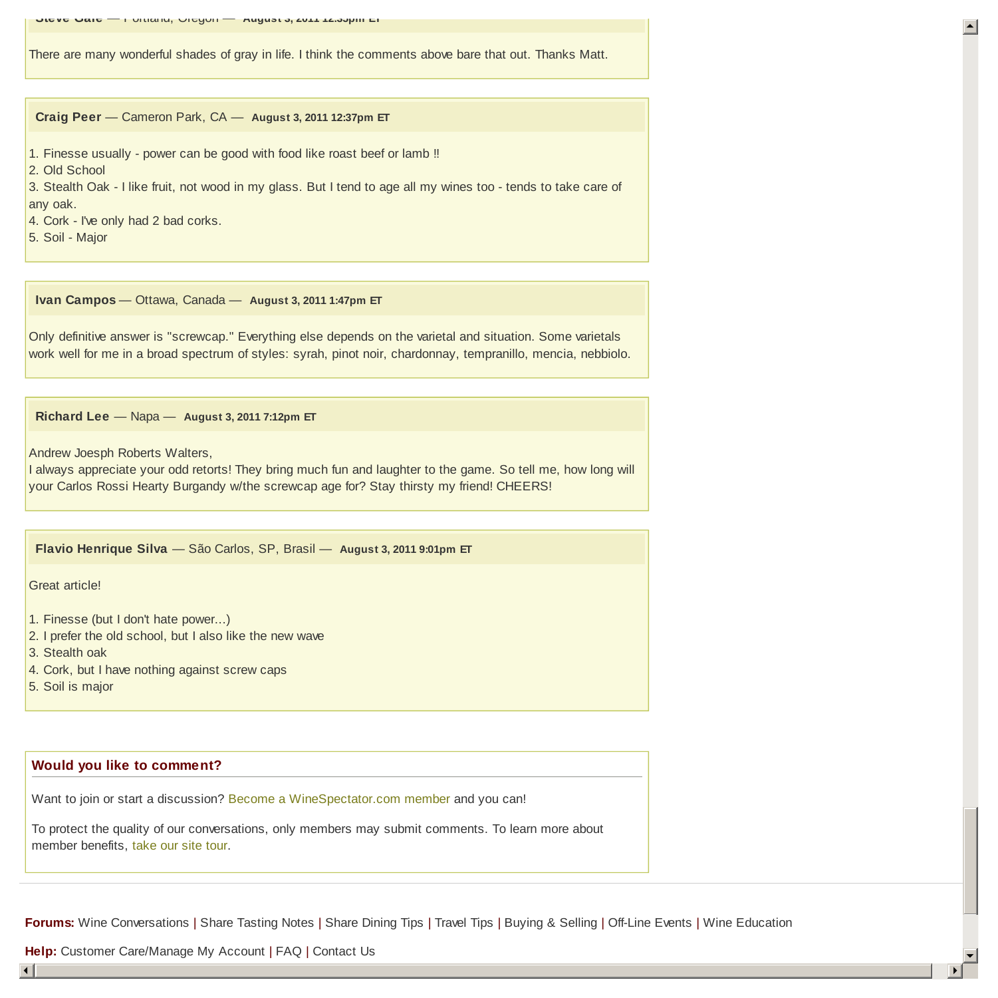There are many wonderful shades of gray in life. I think the comments above bare that out. Thanks Matt.

**Craig Peer** — Cameron Park, CA — **August 3, 2011 12:37pm ET**

1. Finesse usually - power can be good with food like roast beef or lamb !!

2. Old School

3. Stealth Oak - I like fruit, not wood in my glass. But I tend to age all my wines too - tends to take care of any oak.

4. Cork - I've only had 2 bad corks.

5. Soil - Major

**Ivan Campos** — Ottawa, Canada — **August 3, 2011 1:47pm ET**

Only definitive answer is "screwcap." Everything else depends on the varietal and situation. Some varietals work well for me in a broad spectrum of styles: syrah, pinot noir, chardonnay, tempranillo, mencia, nebbiolo.

**Richard Lee** — Napa — **August 3, 2011 7:12pm ET**

Andrew Joesph Roberts Walters,

I always appreciate your odd retorts! They bring much fun and laughter to the game. So tell me, how long will your Carlos Rossi Hearty Burgandy w/the screwcap age for? Stay thirsty my friend! CHEERS!

**Flavio Henrique Silva** — São Carlos, SP, Brasil — **August 3, 2011 9:01pm ET**

Great article!

- 1. Finesse (but I don't hate power...)
- 2. I prefer the old school, but I also like the new wave
- 3. Stealth oak
- 4. Cork, but I have nothing against screw caps
- 5. Soil is major

## **Would you like to comment?**

Want to join or start a discussion? Become a WineSpectator.com member and you can!

To protect the quality of our conversations, only members may submit comments. To learn more about member benefits, take our site tour.

**Forums:** Wine Conversations | Share Tasting Notes | Share Dining Tips | Travel Tips | Buying & Selling | Off-Line Events | Wine Education

**Help:** Customer Care/Manage My Account | FAQ | Contact Us

3 4

 $\left| \right|$